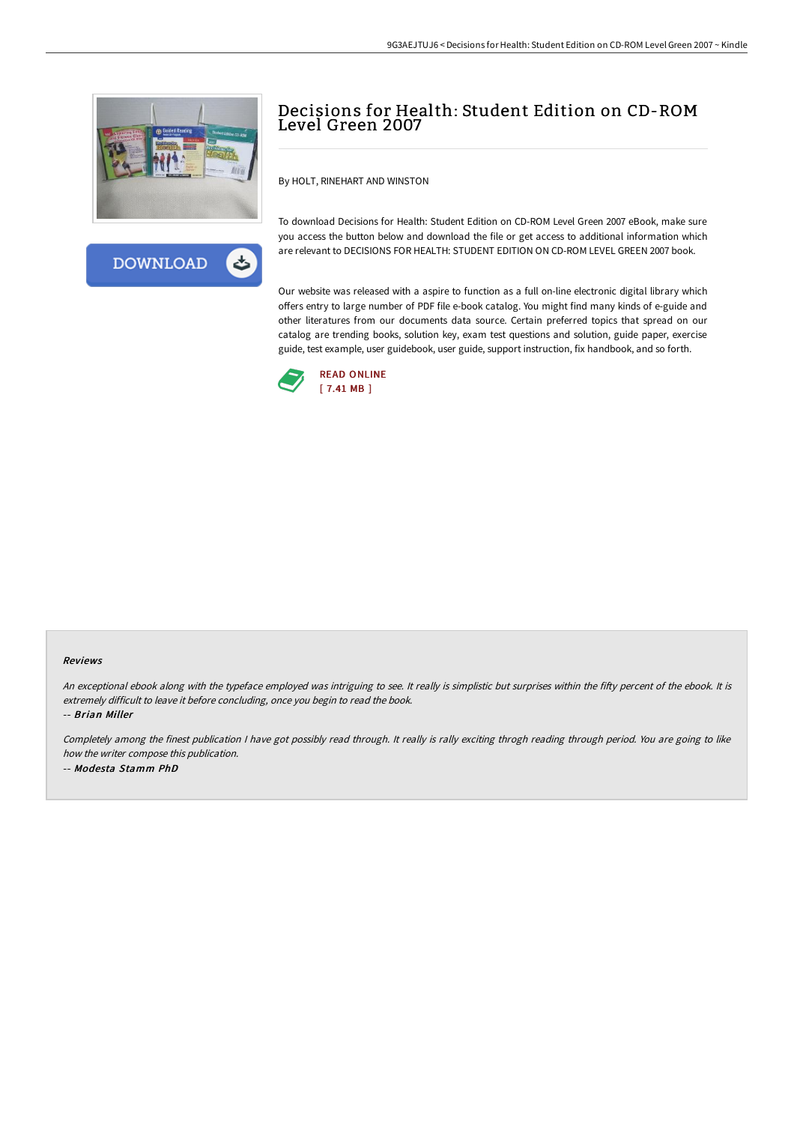



# Decisions for Health: Student Edition on CD-ROM Level Green 2007

By HOLT, RINEHART AND WINSTON

To download Decisions for Health: Student Edition on CD-ROM Level Green 2007 eBook, make sure you access the button below and download the file or get access to additional information which are relevant to DECISIONS FOR HEALTH: STUDENT EDITION ON CD-ROM LEVEL GREEN 2007 book.

Our website was released with a aspire to function as a full on-line electronic digital library which offers entry to large number of PDF file e-book catalog. You might find many kinds of e-guide and other literatures from our documents data source. Certain preferred topics that spread on our catalog are trending books, solution key, exam test questions and solution, guide paper, exercise guide, test example, user guidebook, user guide, support instruction, fix handbook, and so forth.



#### Reviews

An exceptional ebook along with the typeface employed was intriguing to see. It really is simplistic but surprises within the fifty percent of the ebook. It is extremely difficult to leave it before concluding, once you begin to read the book.

-- Brian Miller

Completely among the finest publication I have got possibly read through. It really is rally exciting throgh reading through period. You are going to like how the writer compose this publication. -- Modesta Stamm PhD